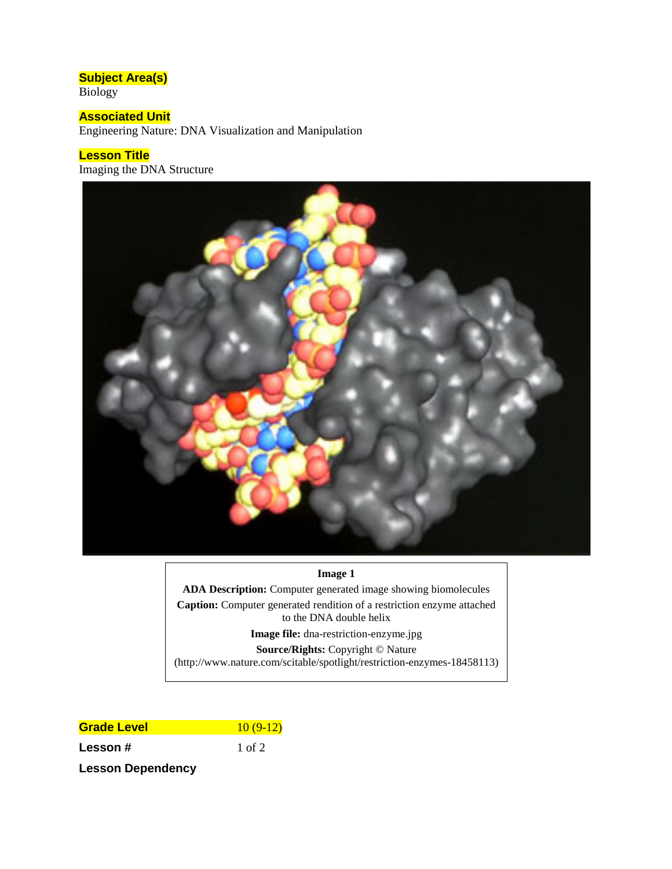# **Subject Area(s)**

Biology

## **Associated Unit**

Engineering Nature: DNA Visualization and Manipulation

#### **Lesson Title**

Imaging the DNA Structure



#### **Image 1**

**ADA Description:** Computer generated image showing biomolecules

**Caption:** Computer generated rendition of a restriction enzyme attached to the DNA double helix

**Image file:** dna-restriction-enzyme.jpg

**Source/Rights:** Copyright © Nature

(http://www.nature.com/scitable/spotlight/restriction-enzymes-18458113)

## **Grade Level** 20 10 (9-12) **Lesson #** 1 of 2

**Lesson Dependency**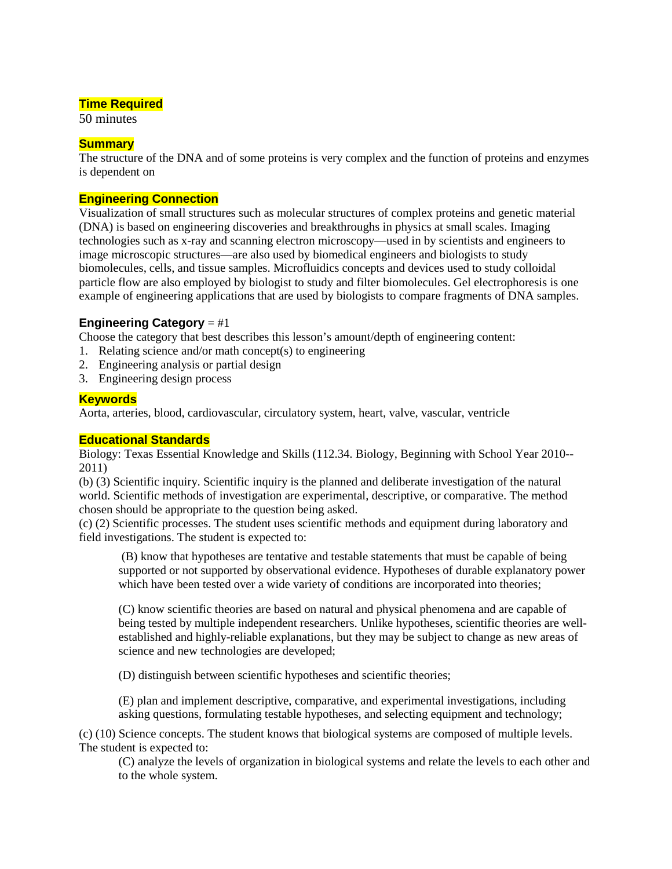#### **Time Required**

50 minutes

#### **Summary**

The structure of the DNA and of some proteins is very complex and the function of proteins and enzymes is dependent on

#### **Engineering Connection**

Visualization of small structures such as molecular structures of complex proteins and genetic material (DNA) is based on engineering discoveries and breakthroughs in physics at small scales. Imaging technologies such as x-ray and scanning electron microscopy—used in by scientists and engineers to image microscopic structures—are also used by biomedical engineers and biologists to study biomolecules, cells, and tissue samples. Microfluidics concepts and devices used to study colloidal particle flow are also employed by biologist to study and filter biomolecules. Gel electrophoresis is one example of engineering applications that are used by biologists to compare fragments of DNA samples.

#### **Engineering Category** = #1

Choose the category that best describes this lesson's amount/depth of engineering content:

- 1. Relating science and/or math concept(s) to engineering
- 2. Engineering analysis or partial design
- 3. Engineering design process

#### **Keywords**

Aorta, arteries, blood, cardiovascular, circulatory system, heart, valve, vascular, ventricle

#### **Educational Standards**

Biology: Texas Essential Knowledge and Skills (112.34. Biology, Beginning with School Year 2010-- 2011)

(b) (3) Scientific inquiry. Scientific inquiry is the planned and deliberate investigation of the natural world. Scientific methods of investigation are experimental, descriptive, or comparative. The method chosen should be appropriate to the question being asked.

(c) (2) Scientific processes. The student uses scientific methods and equipment during laboratory and field investigations. The student is expected to:

(B) know that hypotheses are tentative and testable statements that must be capable of being supported or not supported by observational evidence. Hypotheses of durable explanatory power which have been tested over a wide variety of conditions are incorporated into theories;

(C) know scientific theories are based on natural and physical phenomena and are capable of being tested by multiple independent researchers. Unlike hypotheses, scientific theories are wellestablished and highly-reliable explanations, but they may be subject to change as new areas of science and new technologies are developed;

(D) distinguish between scientific hypotheses and scientific theories;

(E) plan and implement descriptive, comparative, and experimental investigations, including asking questions, formulating testable hypotheses, and selecting equipment and technology;

(c) (10) Science concepts. The student knows that biological systems are composed of multiple levels. The student is expected to:

(C) analyze the levels of organization in biological systems and relate the levels to each other and to the whole system.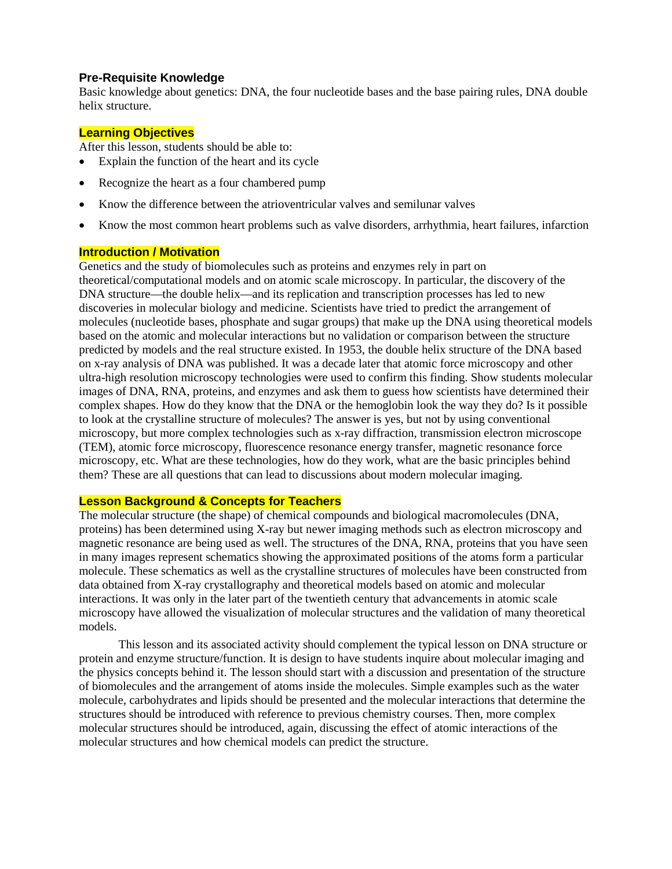#### **Pre-Requisite Knowledge**

Basic knowledge about genetics: DNA, the four nucleotide bases and the base pairing rules, DNA double helix structure.

#### **Learning Objectives**

After this lesson, students should be able to:

- Explain the function of the heart and its cycle
- Recognize the heart as a four chambered pump
- Know the difference between the atrioventricular valves and semilunar valves
- Know the most common heart problems such as valve disorders, arrhythmia, heart failures, infarction

#### **Introduction / Motivation**

Genetics and the study of biomolecules such as proteins and enzymes rely in part on theoretical/computational models and on atomic scale microscopy. In particular, the discovery of the DNA structure—the double helix—and its replication and transcription processes has led to new discoveries in molecular biology and medicine. Scientists have tried to predict the arrangement of molecules (nucleotide bases, phosphate and sugar groups) that make up the DNA using theoretical models based on the atomic and molecular interactions but no validation or comparison between the structure predicted by models and the real structure existed. In 1953, the double helix structure of the DNA based on x-ray analysis of DNA was published. It was a decade later that atomic force microscopy and other ultra-high resolution microscopy technologies were used to confirm this finding. Show students molecular images of DNA, RNA, proteins, and enzymes and ask them to guess how scientists have determined their complex shapes. How do they know that the DNA or the hemoglobin look the way they do? Is it possible to look at the crystalline structure of molecules? The answer is yes, but not by using conventional microscopy, but more complex technologies such as x-ray diffraction, transmission electron microscope (TEM), atomic force microscopy, fluorescence resonance energy transfer, magnetic resonance force microscopy, etc. What are these technologies, how do they work, what are the basic principles behind them? These are all questions that can lead to discussions about modern molecular imaging.

#### **Lesson Background & Concepts for Teachers**

The molecular structure (the shape) of chemical compounds and biological macromolecules (DNA, proteins) has been determined using X-ray but newer imaging methods such as electron microscopy and magnetic resonance are being used as well. The structures of the DNA, RNA, proteins that you have seen in many images represent schematics showing the approximated positions of the atoms form a particular molecule. These schematics as well as the crystalline structures of molecules have been constructed from data obtained from X-ray crystallography and theoretical models based on atomic and molecular interactions. It was only in the later part of the twentieth century that advancements in atomic scale microscopy have allowed the visualization of molecular structures and the validation of many theoretical models.

This lesson and its associated activity should complement the typical lesson on DNA structure or protein and enzyme structure/function. It is design to have students inquire about molecular imaging and the physics concepts behind it. The lesson should start with a discussion and presentation of the structure of biomolecules and the arrangement of atoms inside the molecules. Simple examples such as the water molecule, carbohydrates and lipids should be presented and the molecular interactions that determine the structures should be introduced with reference to previous chemistry courses. Then, more complex molecular structures should be introduced, again, discussing the effect of atomic interactions of the molecular structures and how chemical models can predict the structure.